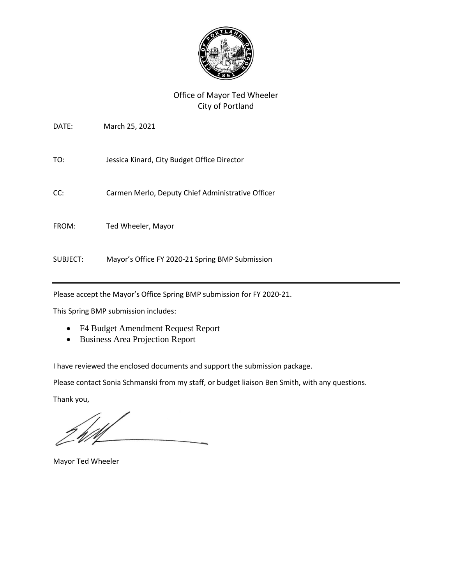

# Office of Mayor Ted Wheeler City of Portland

| DATE:    | March 25, 2021                                    |
|----------|---------------------------------------------------|
| TO:      | Jessica Kinard, City Budget Office Director       |
| CC:      | Carmen Merlo, Deputy Chief Administrative Officer |
| FROM:    | Ted Wheeler, Mayor                                |
| SUBJECT: | Mayor's Office FY 2020-21 Spring BMP Submission   |

Please accept the Mayor's Office Spring BMP submission for FY 2020-21.

This Spring BMP submission includes:

- F4 Budget Amendment Request Report
- Business Area Projection Report

I have reviewed the enclosed documents and support the submission package.

Please contact Sonia Schmanski from my staff, or budget liaison Ben Smith, with any questions.

Thank you,

Mayor Ted Wheeler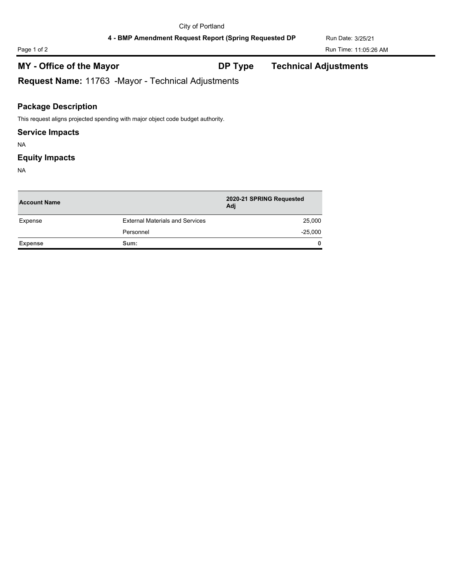4 - BMP Amendment Request Report (Spring Requested DP Run Date: 3/25/21

**MY - Office of the Mayor DP Type Technical Adjustments**

**Request Name:** 11763 -Mayor - Technical Adjustments

### **Package Description**

This request aligns projected spending with major object code budget authority.

### **Service Impacts**

NA

### **Equity Impacts**

NA

| <b>Account Name</b> |                                        | 2020-21 SPRING Requested<br>Adj |  |
|---------------------|----------------------------------------|---------------------------------|--|
| Expense             | <b>External Materials and Services</b> | 25,000                          |  |
|                     | Personnel                              | $-25,000$                       |  |
| <b>Expense</b>      | Sum:                                   | $\mathbf{0}$                    |  |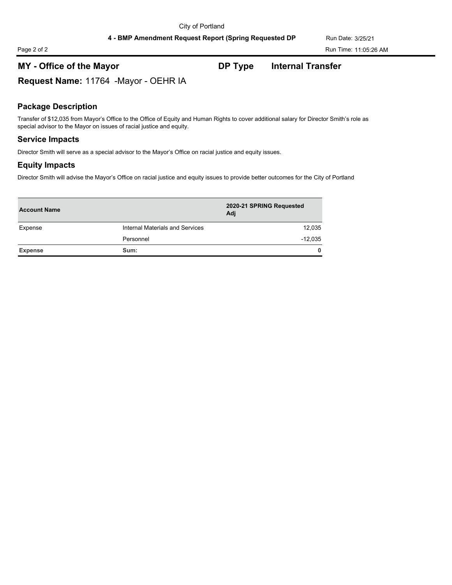Page 2 of 2 Run Time: 11:05:26 AM

# **MY - Office of the Mayor DP Type Internal Transfer**

**Request Name:** 11764 -Mayor - OEHR IA

### **Package Description**

Transfer of \$12,035 from Mayor's Office to the Office of Equity and Human Rights to cover additional salary for Director Smith's role as special advisor to the Mayor on issues of racial justice and equity.

### **Service Impacts**

Director Smith will serve as a special advisor to the Mayor's Office on racial justice and equity issues.

### **Equity Impacts**

Director Smith will advise the Mayor's Office on racial justice and equity issues to provide better outcomes for the City of Portland

| <b>Account Name</b> |                                 | 2020-21 SPRING Requested<br>Adj |  |
|---------------------|---------------------------------|---------------------------------|--|
| Expense             | Internal Materials and Services | 12,035                          |  |
|                     | Personnel                       | $-12,035$                       |  |
| <b>Expense</b>      | Sum:                            | $\mathbf{0}$                    |  |
|                     |                                 |                                 |  |